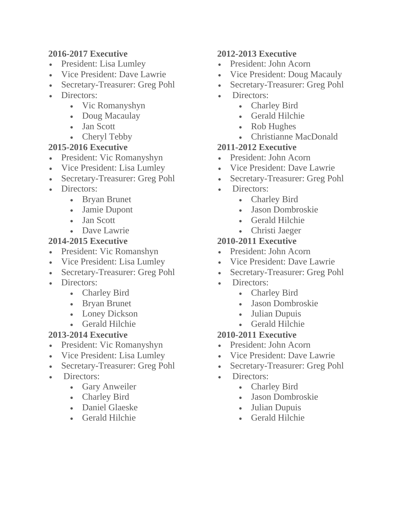#### **2016-2017 Executive**

- President: Lisa Lumley
- Vice President: Dave Lawrie
- Secretary-Treasurer: Greg Pohl
- Directors:
	- Vic Romanyshyn
	- Doug Macaulay
	- Jan Scott
	- Cheryl Tebby

## **2015-2016 Executive**

- President: Vic Romanyshyn
- Vice President: Lisa Lumley
- Secretary-Treasurer: Greg Pohl
- Directors:
	- Bryan Brunet
	- Jamie Dupont
	- Jan Scott
	- Dave Lawrie

## **2014-2015 Executive**

- President: Vic Romanshyn
- Vice President: Lisa Lumley
- Secretary-Treasurer: Greg Pohl
- Directors:
	- Charley Bird
	- Bryan Brunet
	- Loney Dickson
	- Gerald Hilchie

# **2013-2014 Executive**

- President: Vic Romanyshyn
- Vice President: Lisa Lumley
- Secretary-Treasurer: Greg Pohl
- Directors:
	- Gary Anweiler
	- Charley Bird
	- Daniel Glaeske
	- Gerald Hilchie

## **2012-2013 Executive**

- President: John Acorn
- Vice President: Doug Macauly
- Secretary-Treasurer: Greg Pohl
- Directors:
	- Charley Bird
	- Gerald Hilchie
	- Rob Hughes
	- Christianne MacDonald

#### **2011-2012 Executive**

- President: John Acorn
- Vice President: Dave Lawrie
- Secretary-Treasurer: Greg Pohl
- Directors:
	- Charley Bird
	- Jason Dombroskie
	- Gerald Hilchie
	- Christi Jaeger

# **2010-2011 Executive**

- President: John Acorn
- Vice President: Dave Lawrie
- Secretary-Treasurer: Greg Pohl
- Directors:
	- Charley Bird
	- Jason Dombroskie
	- Julian Dupuis
	- Gerald Hilchie

## **2010-2011 Executive**

- President: John Acorn
- Vice President: Dave Lawrie
- Secretary-Treasurer: Greg Pohl
- Directors:
	- Charley Bird
	- Jason Dombroskie
	- Julian Dupuis
	- Gerald Hilchie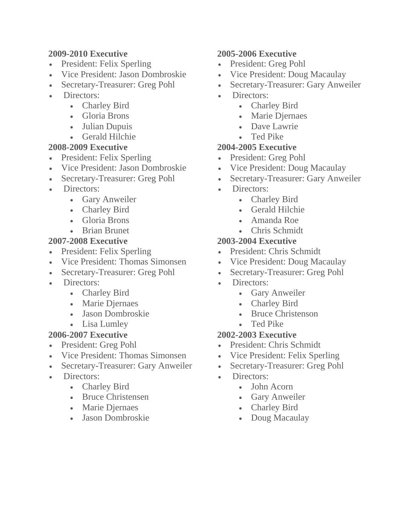#### **2009-2010 Executive**

- President: Felix Sperling
- Vice President: Jason Dombroskie
- Secretary-Treasurer: Greg Pohl
- Directors:
	- Charley Bird
	- Gloria Brons
	- Julian Dupuis
	- Gerald Hilchie

#### **2008-2009 Executive**

- President: Felix Sperling
- Vice President: Jason Dombroskie
- Secretary-Treasurer: Greg Pohl
- Directors:
	- Gary Anweiler
	- Charley Bird
	- Gloria Brons
	- Brian Brunet

## **2007-2008 Executive**

- President: Felix Sperling
- Vice President: Thomas Simonsen
- Secretary-Treasurer: Greg Pohl
- Directors:
	- Charley Bird
	- Marie Djernaes
	- Jason Dombroskie
	- Lisa Lumley

# **2006-2007 Executive**

- President: Greg Pohl
- Vice President: Thomas Simonsen
- Secretary-Treasurer: Gary Anweiler
- Directors:
	- Charley Bird
	- Bruce Christensen
	- Marie Djernaes
	- Jason Dombroskie

#### **2005-2006 Executive**

- President: Greg Pohl
- Vice President: Doug Macaulay
- Secretary-Treasurer: Gary Anweiler
- Directors:
	- Charley Bird
	- Marie Djernaes
	- Dave Lawrie
	- Ted Pike

## **2004-2005 Executive**

- President: Greg Pohl
- Vice President: Doug Macaulay
- Secretary-Treasurer: Gary Anweiler
- Directors:
	- Charley Bird
	- Gerald Hilchie
	- Amanda Roe
	- Chris Schmidt

# **2003-2004 Executive**

- President: Chris Schmidt
- Vice President: Doug Macaulay
- Secretary-Treasurer: Greg Pohl
- Directors:
	- Gary Anweiler
	- Charley Bird
	- Bruce Christenson
	- Ted Pike

## **2002-2003 Executive**

- President: Chris Schmidt
- Vice President: Felix Sperling
- Secretary-Treasurer: Greg Pohl
- Directors:
	- John Acorn
	- Gary Anweiler
	- Charley Bird
	- Doug Macaulay